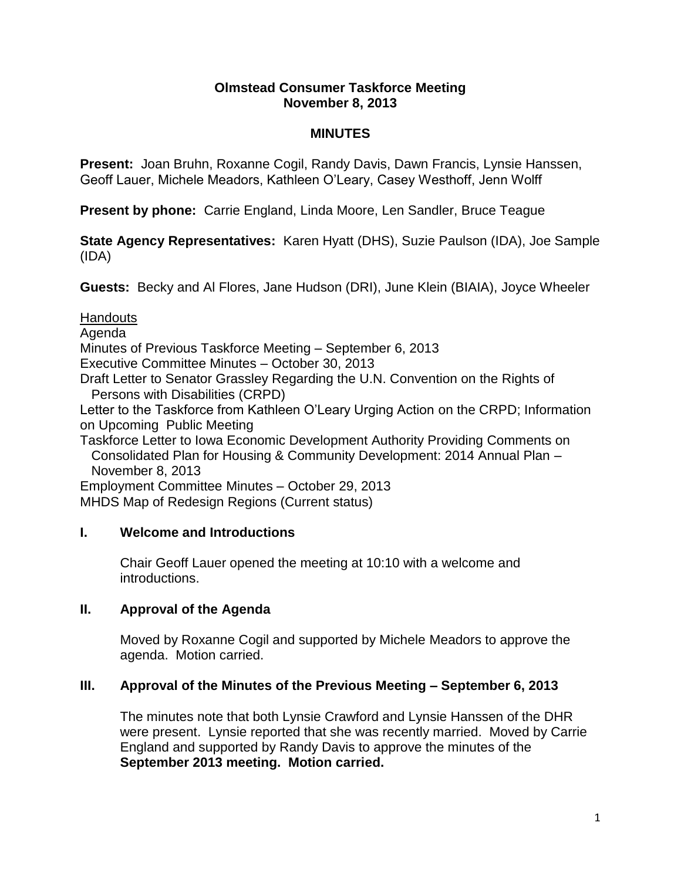#### **Olmstead Consumer Taskforce Meeting November 8, 2013**

# **MINUTES**

**Present:** Joan Bruhn, Roxanne Cogil, Randy Davis, Dawn Francis, Lynsie Hanssen, Geoff Lauer, Michele Meadors, Kathleen O'Leary, Casey Westhoff, Jenn Wolff

**Present by phone:** Carrie England, Linda Moore, Len Sandler, Bruce Teague

**State Agency Representatives:** Karen Hyatt (DHS), Suzie Paulson (IDA), Joe Sample (IDA)

**Guests:** Becky and Al Flores, Jane Hudson (DRI), June Klein (BIAIA), Joyce Wheeler

**Handouts** 

Agenda Minutes of Previous Taskforce Meeting – September 6, 2013 Executive Committee Minutes – October 30, 2013 Draft Letter to Senator Grassley Regarding the U.N. Convention on the Rights of Persons with Disabilities (CRPD) Letter to the Taskforce from Kathleen O'Leary Urging Action on the CRPD; Information on Upcoming Public Meeting Taskforce Letter to Iowa Economic Development Authority Providing Comments on Consolidated Plan for Housing & Community Development: 2014 Annual Plan – November 8, 2013

Employment Committee Minutes – October 29, 2013

MHDS Map of Redesign Regions (Current status)

# **I. Welcome and Introductions**

Chair Geoff Lauer opened the meeting at 10:10 with a welcome and introductions.

# **II. Approval of the Agenda**

Moved by Roxanne Cogil and supported by Michele Meadors to approve the agenda. Motion carried.

# **III. Approval of the Minutes of the Previous Meeting – September 6, 2013**

The minutes note that both Lynsie Crawford and Lynsie Hanssen of the DHR were present. Lynsie reported that she was recently married. Moved by Carrie England and supported by Randy Davis to approve the minutes of the **September 2013 meeting. Motion carried.**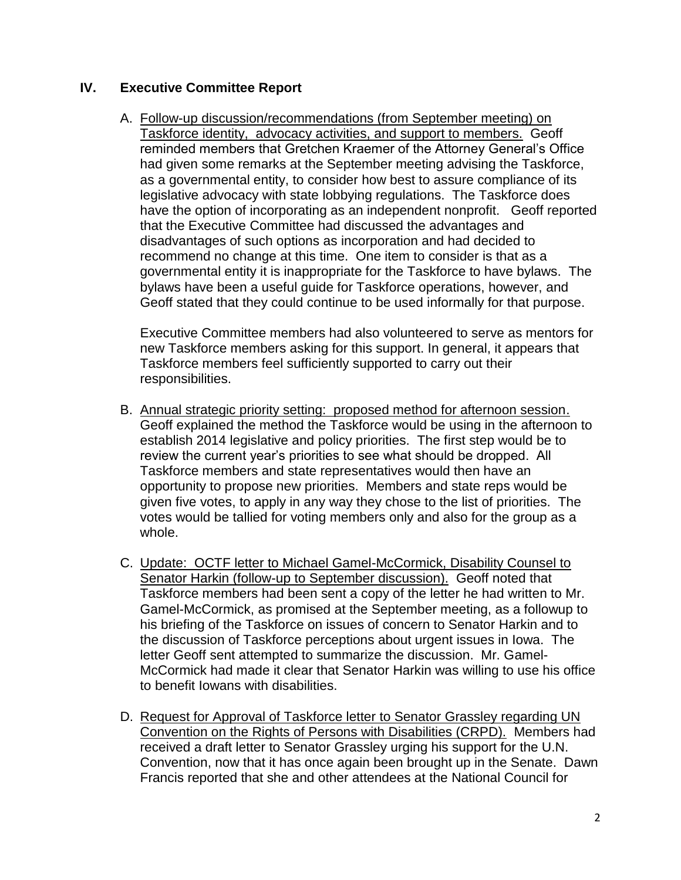# **IV. Executive Committee Report**

A. Follow-up discussion/recommendations (from September meeting) on Taskforce identity, advocacy activities, and support to members. Geoff reminded members that Gretchen Kraemer of the Attorney General's Office had given some remarks at the September meeting advising the Taskforce, as a governmental entity, to consider how best to assure compliance of its legislative advocacy with state lobbying regulations. The Taskforce does have the option of incorporating as an independent nonprofit. Geoff reported that the Executive Committee had discussed the advantages and disadvantages of such options as incorporation and had decided to recommend no change at this time. One item to consider is that as a governmental entity it is inappropriate for the Taskforce to have bylaws. The bylaws have been a useful guide for Taskforce operations, however, and Geoff stated that they could continue to be used informally for that purpose.

Executive Committee members had also volunteered to serve as mentors for new Taskforce members asking for this support. In general, it appears that Taskforce members feel sufficiently supported to carry out their responsibilities.

- B. Annual strategic priority setting: proposed method for afternoon session. Geoff explained the method the Taskforce would be using in the afternoon to establish 2014 legislative and policy priorities. The first step would be to review the current year's priorities to see what should be dropped. All Taskforce members and state representatives would then have an opportunity to propose new priorities. Members and state reps would be given five votes, to apply in any way they chose to the list of priorities. The votes would be tallied for voting members only and also for the group as a whole.
- C. Update: OCTF letter to Michael Gamel-McCormick, Disability Counsel to Senator Harkin (follow-up to September discussion). Geoff noted that Taskforce members had been sent a copy of the letter he had written to Mr. Gamel-McCormick, as promised at the September meeting, as a followup to his briefing of the Taskforce on issues of concern to Senator Harkin and to the discussion of Taskforce perceptions about urgent issues in Iowa. The letter Geoff sent attempted to summarize the discussion. Mr. Gamel-McCormick had made it clear that Senator Harkin was willing to use his office to benefit Iowans with disabilities.
- D. Request for Approval of Taskforce letter to Senator Grassley regarding UN Convention on the Rights of Persons with Disabilities (CRPD). Members had received a draft letter to Senator Grassley urging his support for the U.N. Convention, now that it has once again been brought up in the Senate. Dawn Francis reported that she and other attendees at the National Council for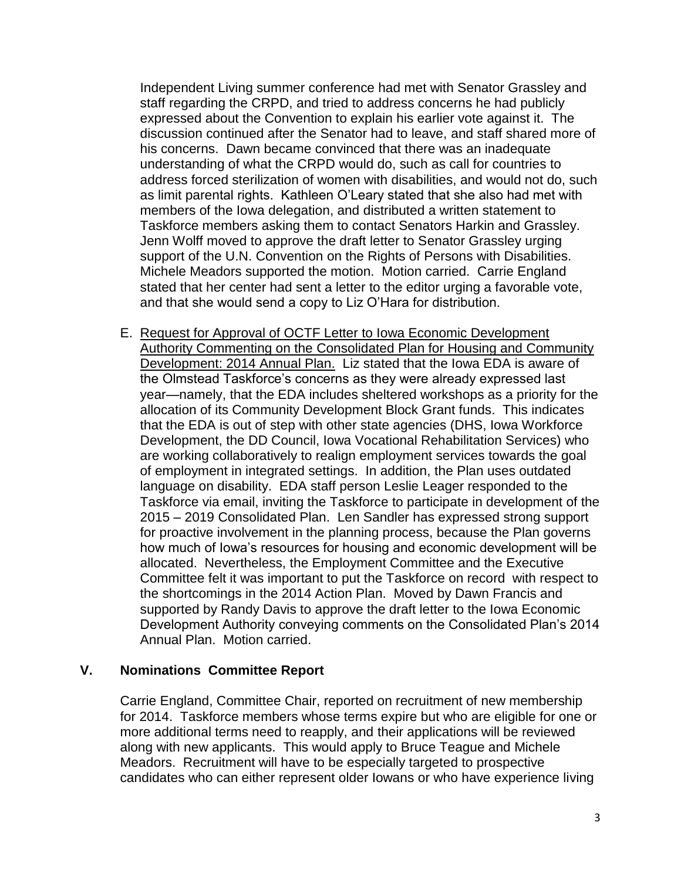Independent Living summer conference had met with Senator Grassley and staff regarding the CRPD, and tried to address concerns he had publicly expressed about the Convention to explain his earlier vote against it. The discussion continued after the Senator had to leave, and staff shared more of his concerns. Dawn became convinced that there was an inadequate understanding of what the CRPD would do, such as call for countries to address forced sterilization of women with disabilities, and would not do, such as limit parental rights. Kathleen O'Leary stated that she also had met with members of the Iowa delegation, and distributed a written statement to Taskforce members asking them to contact Senators Harkin and Grassley. Jenn Wolff moved to approve the draft letter to Senator Grassley urging support of the U.N. Convention on the Rights of Persons with Disabilities. Michele Meadors supported the motion. Motion carried. Carrie England stated that her center had sent a letter to the editor urging a favorable vote, and that she would send a copy to Liz O'Hara for distribution.

E. Request for Approval of OCTF Letter to Iowa Economic Development Authority Commenting on the Consolidated Plan for Housing and Community Development: 2014 Annual Plan. Liz stated that the Iowa EDA is aware of the Olmstead Taskforce's concerns as they were already expressed last year—namely, that the EDA includes sheltered workshops as a priority for the allocation of its Community Development Block Grant funds. This indicates that the EDA is out of step with other state agencies (DHS, Iowa Workforce Development, the DD Council, Iowa Vocational Rehabilitation Services) who are working collaboratively to realign employment services towards the goal of employment in integrated settings. In addition, the Plan uses outdated language on disability. EDA staff person Leslie Leager responded to the Taskforce via email, inviting the Taskforce to participate in development of the 2015 – 2019 Consolidated Plan. Len Sandler has expressed strong support for proactive involvement in the planning process, because the Plan governs how much of Iowa's resources for housing and economic development will be allocated. Nevertheless, the Employment Committee and the Executive Committee felt it was important to put the Taskforce on record with respect to the shortcomings in the 2014 Action Plan. Moved by Dawn Francis and supported by Randy Davis to approve the draft letter to the Iowa Economic Development Authority conveying comments on the Consolidated Plan's 2014 Annual Plan. Motion carried.

# **V. Nominations Committee Report**

Carrie England, Committee Chair, reported on recruitment of new membership for 2014. Taskforce members whose terms expire but who are eligible for one or more additional terms need to reapply, and their applications will be reviewed along with new applicants. This would apply to Bruce Teague and Michele Meadors. Recruitment will have to be especially targeted to prospective candidates who can either represent older Iowans or who have experience living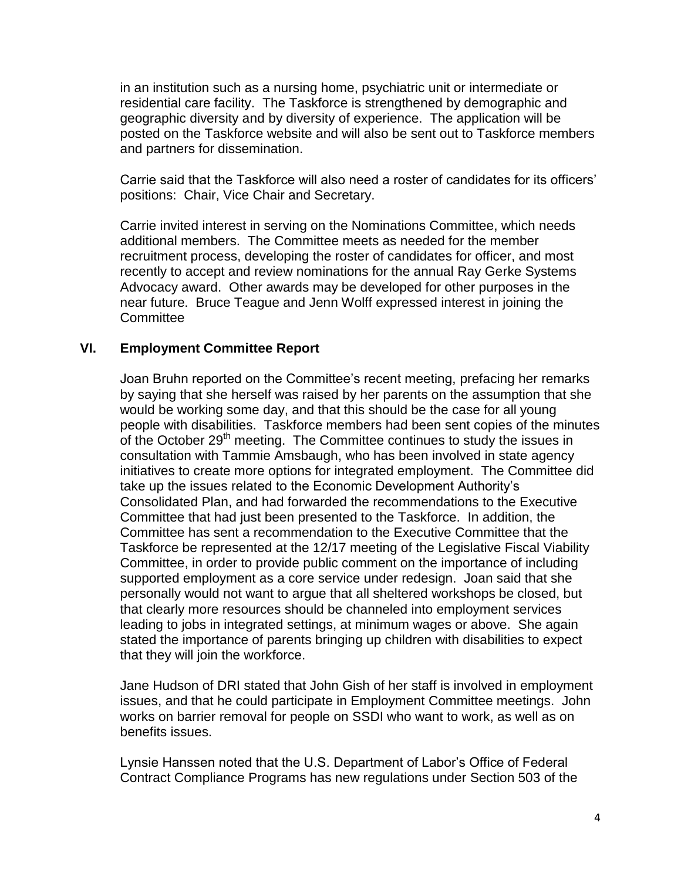in an institution such as a nursing home, psychiatric unit or intermediate or residential care facility. The Taskforce is strengthened by demographic and geographic diversity and by diversity of experience. The application will be posted on the Taskforce website and will also be sent out to Taskforce members and partners for dissemination.

Carrie said that the Taskforce will also need a roster of candidates for its officers' positions: Chair, Vice Chair and Secretary.

Carrie invited interest in serving on the Nominations Committee, which needs additional members. The Committee meets as needed for the member recruitment process, developing the roster of candidates for officer, and most recently to accept and review nominations for the annual Ray Gerke Systems Advocacy award. Other awards may be developed for other purposes in the near future. Bruce Teague and Jenn Wolff expressed interest in joining the **Committee** 

# **VI. Employment Committee Report**

Joan Bruhn reported on the Committee's recent meeting, prefacing her remarks by saying that she herself was raised by her parents on the assumption that she would be working some day, and that this should be the case for all young people with disabilities. Taskforce members had been sent copies of the minutes of the October 29<sup>th</sup> meeting. The Committee continues to study the issues in consultation with Tammie Amsbaugh, who has been involved in state agency initiatives to create more options for integrated employment. The Committee did take up the issues related to the Economic Development Authority's Consolidated Plan, and had forwarded the recommendations to the Executive Committee that had just been presented to the Taskforce. In addition, the Committee has sent a recommendation to the Executive Committee that the Taskforce be represented at the 12/17 meeting of the Legislative Fiscal Viability Committee, in order to provide public comment on the importance of including supported employment as a core service under redesign. Joan said that she personally would not want to argue that all sheltered workshops be closed, but that clearly more resources should be channeled into employment services leading to jobs in integrated settings, at minimum wages or above. She again stated the importance of parents bringing up children with disabilities to expect that they will join the workforce.

Jane Hudson of DRI stated that John Gish of her staff is involved in employment issues, and that he could participate in Employment Committee meetings. John works on barrier removal for people on SSDI who want to work, as well as on benefits issues.

Lynsie Hanssen noted that the U.S. Department of Labor's Office of Federal Contract Compliance Programs has new regulations under Section 503 of the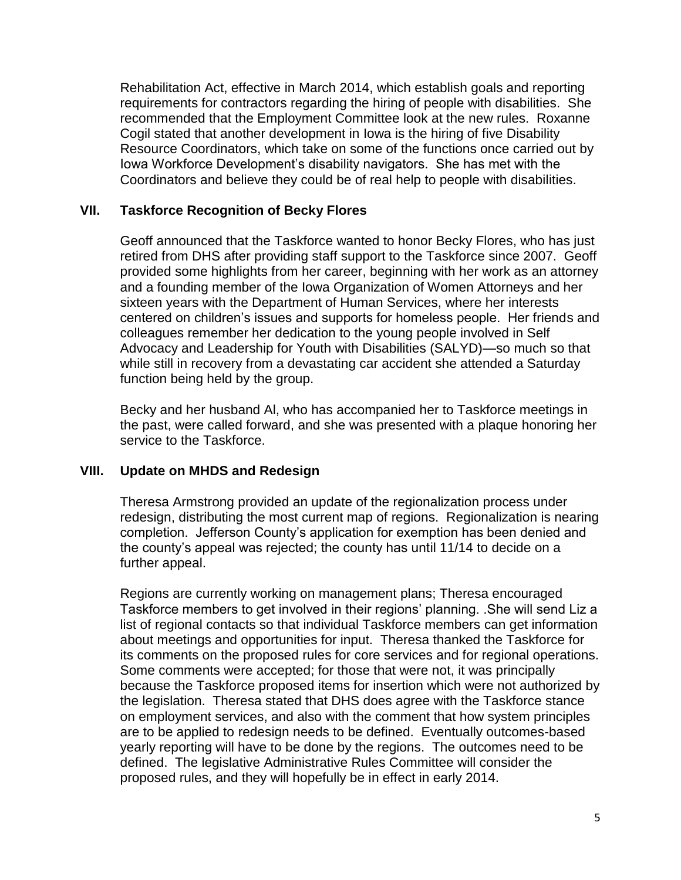Rehabilitation Act, effective in March 2014, which establish goals and reporting requirements for contractors regarding the hiring of people with disabilities. She recommended that the Employment Committee look at the new rules. Roxanne Cogil stated that another development in Iowa is the hiring of five Disability Resource Coordinators, which take on some of the functions once carried out by Iowa Workforce Development's disability navigators. She has met with the Coordinators and believe they could be of real help to people with disabilities.

# **VII. Taskforce Recognition of Becky Flores**

Geoff announced that the Taskforce wanted to honor Becky Flores, who has just retired from DHS after providing staff support to the Taskforce since 2007. Geoff provided some highlights from her career, beginning with her work as an attorney and a founding member of the Iowa Organization of Women Attorneys and her sixteen years with the Department of Human Services, where her interests centered on children's issues and supports for homeless people. Her friends and colleagues remember her dedication to the young people involved in Self Advocacy and Leadership for Youth with Disabilities (SALYD)—so much so that while still in recovery from a devastating car accident she attended a Saturday function being held by the group.

Becky and her husband Al, who has accompanied her to Taskforce meetings in the past, were called forward, and she was presented with a plaque honoring her service to the Taskforce.

# **VIII. Update on MHDS and Redesign**

Theresa Armstrong provided an update of the regionalization process under redesign, distributing the most current map of regions. Regionalization is nearing completion. Jefferson County's application for exemption has been denied and the county's appeal was rejected; the county has until 11/14 to decide on a further appeal.

Regions are currently working on management plans; Theresa encouraged Taskforce members to get involved in their regions' planning. .She will send Liz a list of regional contacts so that individual Taskforce members can get information about meetings and opportunities for input. Theresa thanked the Taskforce for its comments on the proposed rules for core services and for regional operations. Some comments were accepted; for those that were not, it was principally because the Taskforce proposed items for insertion which were not authorized by the legislation. Theresa stated that DHS does agree with the Taskforce stance on employment services, and also with the comment that how system principles are to be applied to redesign needs to be defined. Eventually outcomes-based yearly reporting will have to be done by the regions. The outcomes need to be defined. The legislative Administrative Rules Committee will consider the proposed rules, and they will hopefully be in effect in early 2014.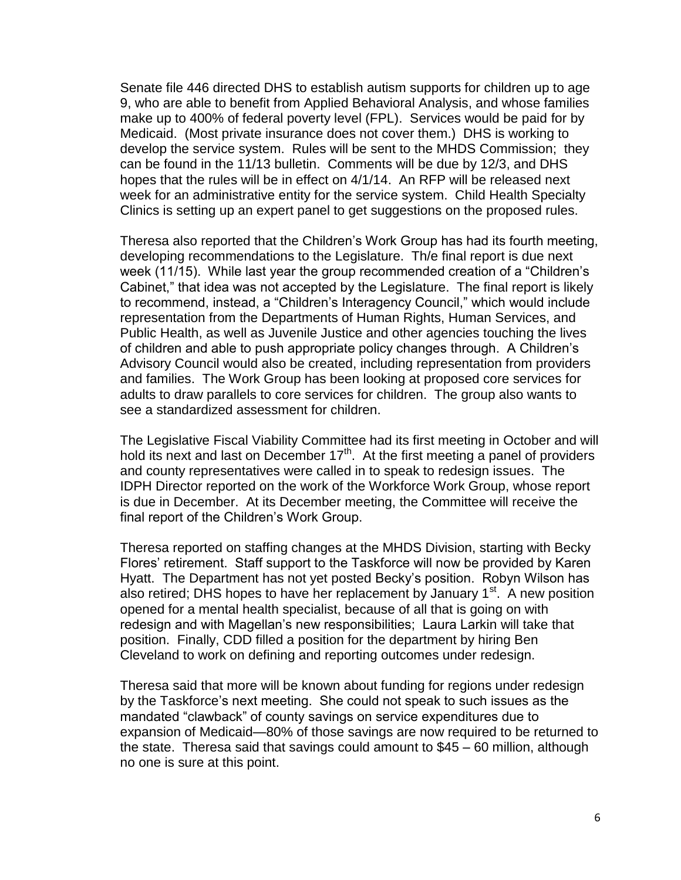Senate file 446 directed DHS to establish autism supports for children up to age 9, who are able to benefit from Applied Behavioral Analysis, and whose families make up to 400% of federal poverty level (FPL). Services would be paid for by Medicaid. (Most private insurance does not cover them.) DHS is working to develop the service system. Rules will be sent to the MHDS Commission; they can be found in the 11/13 bulletin. Comments will be due by 12/3, and DHS hopes that the rules will be in effect on 4/1/14. An RFP will be released next week for an administrative entity for the service system. Child Health Specialty Clinics is setting up an expert panel to get suggestions on the proposed rules.

Theresa also reported that the Children's Work Group has had its fourth meeting, developing recommendations to the Legislature. Th/e final report is due next week (11/15). While last year the group recommended creation of a "Children's Cabinet," that idea was not accepted by the Legislature. The final report is likely to recommend, instead, a "Children's Interagency Council," which would include representation from the Departments of Human Rights, Human Services, and Public Health, as well as Juvenile Justice and other agencies touching the lives of children and able to push appropriate policy changes through. A Children's Advisory Council would also be created, including representation from providers and families. The Work Group has been looking at proposed core services for adults to draw parallels to core services for children. The group also wants to see a standardized assessment for children.

The Legislative Fiscal Viability Committee had its first meeting in October and will hold its next and last on December  $17<sup>th</sup>$ . At the first meeting a panel of providers and county representatives were called in to speak to redesign issues. The IDPH Director reported on the work of the Workforce Work Group, whose report is due in December. At its December meeting, the Committee will receive the final report of the Children's Work Group.

Theresa reported on staffing changes at the MHDS Division, starting with Becky Flores' retirement. Staff support to the Taskforce will now be provided by Karen Hyatt. The Department has not yet posted Becky's position. Robyn Wilson has also retired; DHS hopes to have her replacement by January  $1<sup>st</sup>$ . A new position opened for a mental health specialist, because of all that is going on with redesign and with Magellan's new responsibilities; Laura Larkin will take that position. Finally, CDD filled a position for the department by hiring Ben Cleveland to work on defining and reporting outcomes under redesign.

Theresa said that more will be known about funding for regions under redesign by the Taskforce's next meeting. She could not speak to such issues as the mandated "clawback" of county savings on service expenditures due to expansion of Medicaid—80% of those savings are now required to be returned to the state. Theresa said that savings could amount to \$45 – 60 million, although no one is sure at this point.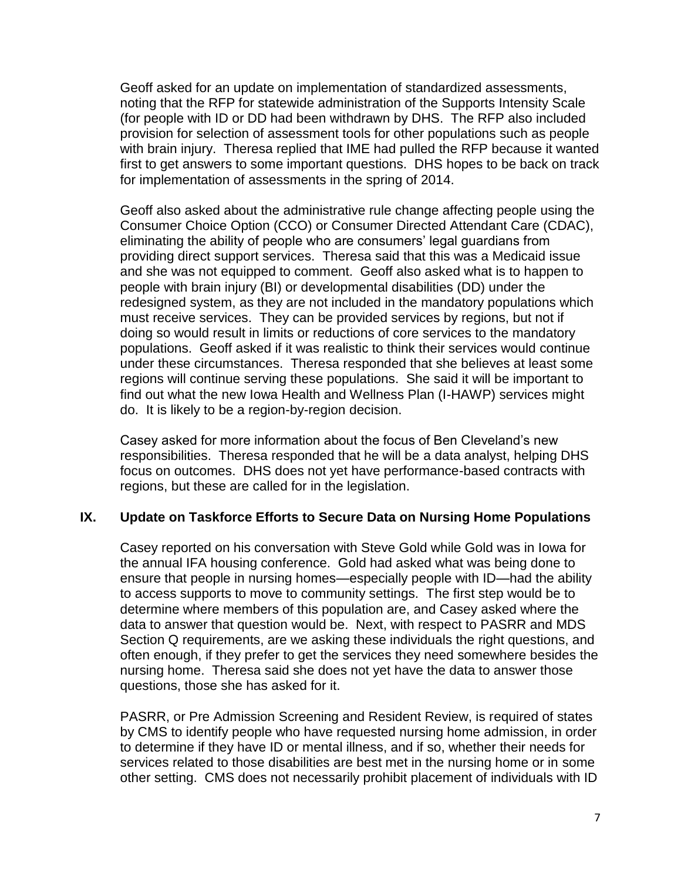Geoff asked for an update on implementation of standardized assessments, noting that the RFP for statewide administration of the Supports Intensity Scale (for people with ID or DD had been withdrawn by DHS. The RFP also included provision for selection of assessment tools for other populations such as people with brain injury. Theresa replied that IME had pulled the RFP because it wanted first to get answers to some important questions. DHS hopes to be back on track for implementation of assessments in the spring of 2014.

Geoff also asked about the administrative rule change affecting people using the Consumer Choice Option (CCO) or Consumer Directed Attendant Care (CDAC), eliminating the ability of people who are consumers' legal guardians from providing direct support services. Theresa said that this was a Medicaid issue and she was not equipped to comment. Geoff also asked what is to happen to people with brain injury (BI) or developmental disabilities (DD) under the redesigned system, as they are not included in the mandatory populations which must receive services. They can be provided services by regions, but not if doing so would result in limits or reductions of core services to the mandatory populations. Geoff asked if it was realistic to think their services would continue under these circumstances. Theresa responded that she believes at least some regions will continue serving these populations. She said it will be important to find out what the new Iowa Health and Wellness Plan (I-HAWP) services might do. It is likely to be a region-by-region decision.

Casey asked for more information about the focus of Ben Cleveland's new responsibilities. Theresa responded that he will be a data analyst, helping DHS focus on outcomes. DHS does not yet have performance-based contracts with regions, but these are called for in the legislation.

# **IX. Update on Taskforce Efforts to Secure Data on Nursing Home Populations**

Casey reported on his conversation with Steve Gold while Gold was in Iowa for the annual IFA housing conference. Gold had asked what was being done to ensure that people in nursing homes—especially people with ID—had the ability to access supports to move to community settings. The first step would be to determine where members of this population are, and Casey asked where the data to answer that question would be. Next, with respect to PASRR and MDS Section Q requirements, are we asking these individuals the right questions, and often enough, if they prefer to get the services they need somewhere besides the nursing home. Theresa said she does not yet have the data to answer those questions, those she has asked for it.

PASRR, or Pre Admission Screening and Resident Review, is required of states by CMS to identify people who have requested nursing home admission, in order to determine if they have ID or mental illness, and if so, whether their needs for services related to those disabilities are best met in the nursing home or in some other setting. CMS does not necessarily prohibit placement of individuals with ID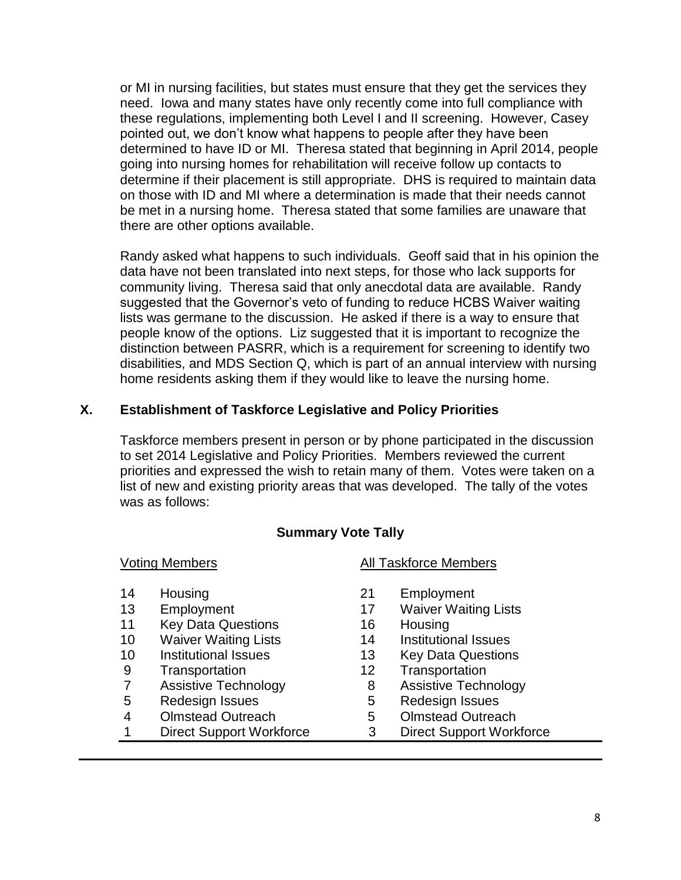or MI in nursing facilities, but states must ensure that they get the services they need. Iowa and many states have only recently come into full compliance with these regulations, implementing both Level I and II screening. However, Casey pointed out, we don't know what happens to people after they have been determined to have ID or MI. Theresa stated that beginning in April 2014, people going into nursing homes for rehabilitation will receive follow up contacts to determine if their placement is still appropriate. DHS is required to maintain data on those with ID and MI where a determination is made that their needs cannot be met in a nursing home. Theresa stated that some families are unaware that there are other options available.

Randy asked what happens to such individuals. Geoff said that in his opinion the data have not been translated into next steps, for those who lack supports for community living. Theresa said that only anecdotal data are available. Randy suggested that the Governor's veto of funding to reduce HCBS Waiver waiting lists was germane to the discussion. He asked if there is a way to ensure that people know of the options. Liz suggested that it is important to recognize the distinction between PASRR, which is a requirement for screening to identify two disabilities, and MDS Section Q, which is part of an annual interview with nursing home residents asking them if they would like to leave the nursing home.

# **X. Establishment of Taskforce Legislative and Policy Priorities**

Taskforce members present in person or by phone participated in the discussion to set 2014 Legislative and Policy Priorities. Members reviewed the current priorities and expressed the wish to retain many of them. Votes were taken on a list of new and existing priority areas that was developed. The tally of the votes was as follows:

# **Summary Vote Tally**

- 
- 
- 11 Key Data Questions 16 Housing
- 10 Waiver Waiting Lists 14 Institutional Issues
- 
- 
- 7 Assistive Technology 8 Assistive Technology
- 5 Redesign Issues 5 Redesign Issues
- 4 Olmstead Outreach 5 Olmstead Outreach
- 1 Direct Support Workforce 3 Direct Support Workforce

# Voting Members **All Taskforce Members**

- 14 Housing 21 Employment
- 13 Employment 17 Waiver Waiting Lists
	-
	-
- 10 Institutional Issues 13 Key Data Questions
- 9 Transportation 12 Transportation
	-
	-
	-
	-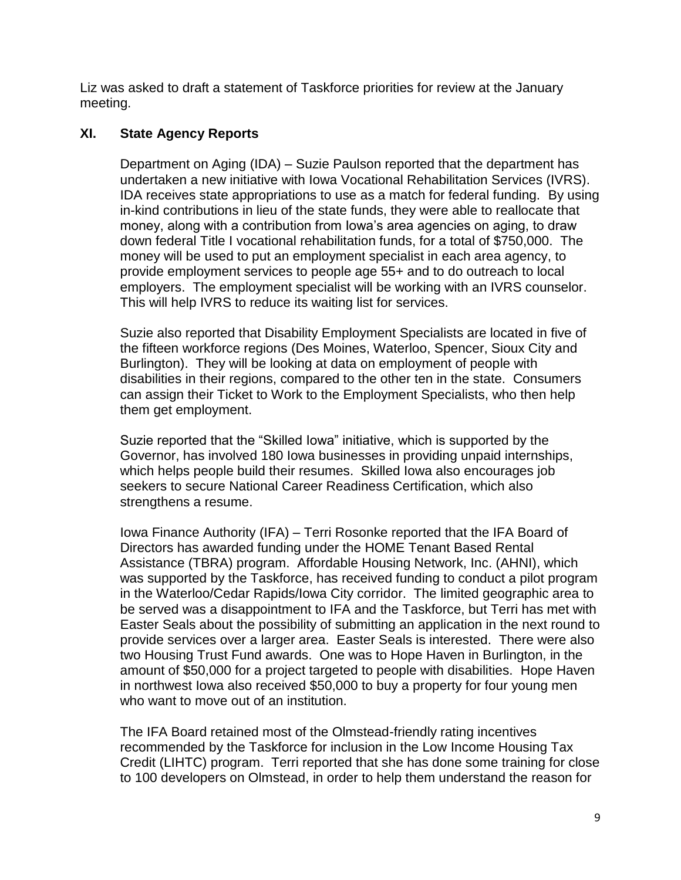Liz was asked to draft a statement of Taskforce priorities for review at the January meeting.

# **XI. State Agency Reports**

Department on Aging (IDA) – Suzie Paulson reported that the department has undertaken a new initiative with Iowa Vocational Rehabilitation Services (IVRS). IDA receives state appropriations to use as a match for federal funding. By using in-kind contributions in lieu of the state funds, they were able to reallocate that money, along with a contribution from Iowa's area agencies on aging, to draw down federal Title I vocational rehabilitation funds, for a total of \$750,000. The money will be used to put an employment specialist in each area agency, to provide employment services to people age 55+ and to do outreach to local employers. The employment specialist will be working with an IVRS counselor. This will help IVRS to reduce its waiting list for services.

Suzie also reported that Disability Employment Specialists are located in five of the fifteen workforce regions (Des Moines, Waterloo, Spencer, Sioux City and Burlington). They will be looking at data on employment of people with disabilities in their regions, compared to the other ten in the state. Consumers can assign their Ticket to Work to the Employment Specialists, who then help them get employment.

Suzie reported that the "Skilled Iowa" initiative, which is supported by the Governor, has involved 180 Iowa businesses in providing unpaid internships, which helps people build their resumes. Skilled Iowa also encourages job seekers to secure National Career Readiness Certification, which also strengthens a resume.

Iowa Finance Authority (IFA) – Terri Rosonke reported that the IFA Board of Directors has awarded funding under the HOME Tenant Based Rental Assistance (TBRA) program. Affordable Housing Network, Inc. (AHNI), which was supported by the Taskforce, has received funding to conduct a pilot program in the Waterloo/Cedar Rapids/Iowa City corridor. The limited geographic area to be served was a disappointment to IFA and the Taskforce, but Terri has met with Easter Seals about the possibility of submitting an application in the next round to provide services over a larger area. Easter Seals is interested. There were also two Housing Trust Fund awards. One was to Hope Haven in Burlington, in the amount of \$50,000 for a project targeted to people with disabilities. Hope Haven in northwest Iowa also received \$50,000 to buy a property for four young men who want to move out of an institution.

The IFA Board retained most of the Olmstead-friendly rating incentives recommended by the Taskforce for inclusion in the Low Income Housing Tax Credit (LIHTC) program. Terri reported that she has done some training for close to 100 developers on Olmstead, in order to help them understand the reason for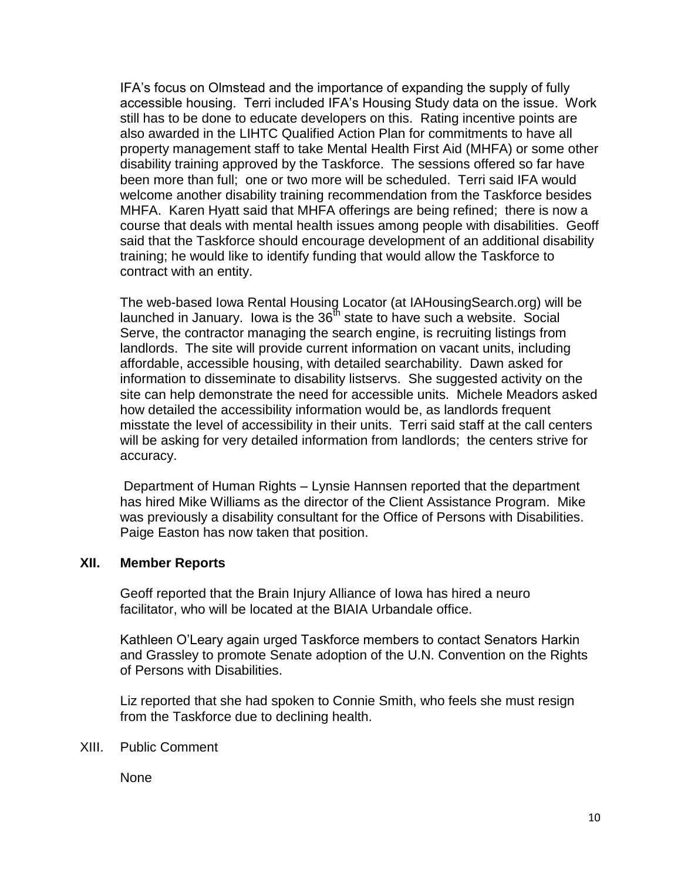IFA's focus on Olmstead and the importance of expanding the supply of fully accessible housing. Terri included IFA's Housing Study data on the issue. Work still has to be done to educate developers on this. Rating incentive points are also awarded in the LIHTC Qualified Action Plan for commitments to have all property management staff to take Mental Health First Aid (MHFA) or some other disability training approved by the Taskforce. The sessions offered so far have been more than full; one or two more will be scheduled. Terri said IFA would welcome another disability training recommendation from the Taskforce besides MHFA. Karen Hyatt said that MHFA offerings are being refined; there is now a course that deals with mental health issues among people with disabilities. Geoff said that the Taskforce should encourage development of an additional disability training; he would like to identify funding that would allow the Taskforce to contract with an entity.

The web-based Iowa Rental Housing Locator (at IAHousingSearch.org) will be launched in January. Iowa is the  $36<sup>th</sup>$  state to have such a website. Social Serve, the contractor managing the search engine, is recruiting listings from landlords. The site will provide current information on vacant units, including affordable, accessible housing, with detailed searchability. Dawn asked for information to disseminate to disability listservs. She suggested activity on the site can help demonstrate the need for accessible units. Michele Meadors asked how detailed the accessibility information would be, as landlords frequent misstate the level of accessibility in their units. Terri said staff at the call centers will be asking for very detailed information from landlords; the centers strive for accuracy.

Department of Human Rights – Lynsie Hannsen reported that the department has hired Mike Williams as the director of the Client Assistance Program. Mike was previously a disability consultant for the Office of Persons with Disabilities. Paige Easton has now taken that position.

#### **XII. Member Reports**

Geoff reported that the Brain Injury Alliance of Iowa has hired a neuro facilitator, who will be located at the BIAIA Urbandale office.

Kathleen O'Leary again urged Taskforce members to contact Senators Harkin and Grassley to promote Senate adoption of the U.N. Convention on the Rights of Persons with Disabilities.

Liz reported that she had spoken to Connie Smith, who feels she must resign from the Taskforce due to declining health.

XIII. Public Comment

None